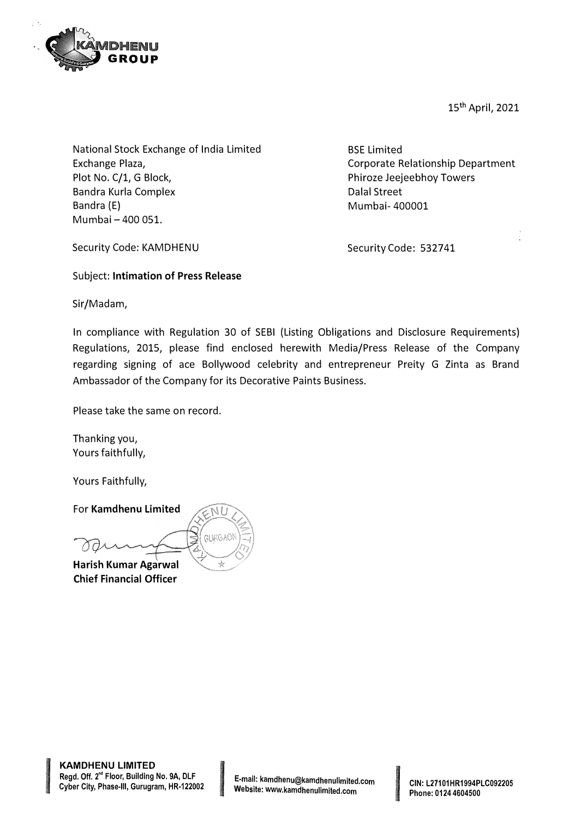

15th April, 2021

National Stock Exchange of India Limited Exchange Plaza, Plot No. C/1, G Block, Bandra Kurla Complex Bandra (E) Mumbai - 400 051.

BSE Limited Corporate Relationship Department Phiroze Jeejeebhoy Towers Dalal Street Mumbai- 400001

Security Code: KAMDHENU

Security Code: 532741

Subject: **Intimation of Press Release** 

Sir/Madam,

In compliance with Regulation 30 of SEBI (Listing Obligations and Disclosure Requirements) Regulations, 2015, please find enclosed herewith Media/Press Release of the Company regarding signing of ace Bollywood celebrity and entrepreneur Preity G Zinta as Brand Ambassador of the Company for its Decorative Paints Business.

Please take the same on record.

Thanking you, Yours faithfully,

Yours Faithfully,

For **Kamdhenu Limited** 

**Harish Kumar Agarwal Chief Financial Officer** 



**In the Community of the Community**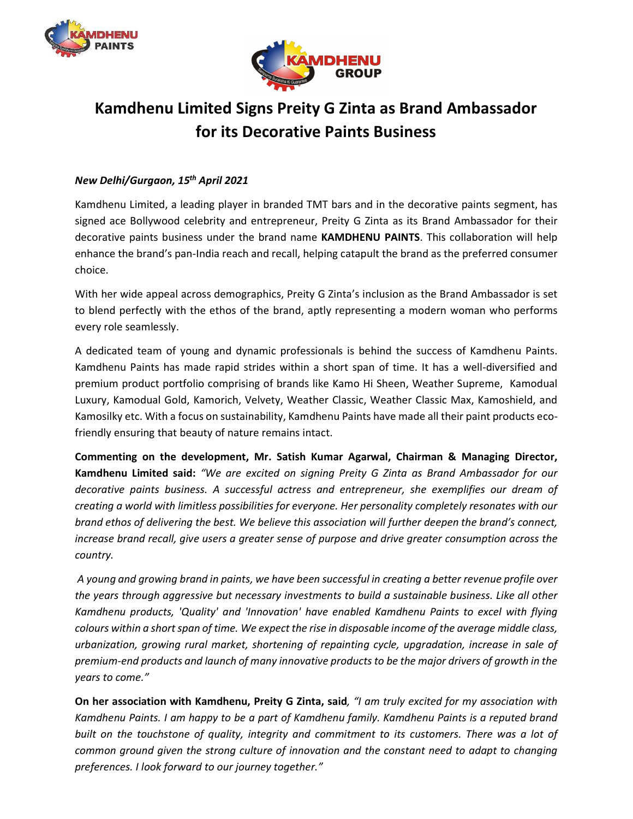



## Kamdhenu Limited Signs Preity G Zinta as Brand Ambassador for its Decorative Paints Business

## New Delhi/Gurgaon, 15th April 2021

Kamdhenu Limited, a leading player in branded TMT bars and in the decorative paints segment, has signed ace Bollywood celebrity and entrepreneur, Preity G Zinta as its Brand Ambassador for their decorative paints business under the brand name KAMDHENU PAINTS. This collaboration will help enhance the brand's pan-India reach and recall, helping catapult the brand as the preferred consumer choice.

With her wide appeal across demographics, Preity G Zinta's inclusion as the Brand Ambassador is set to blend perfectly with the ethos of the brand, aptly representing a modern woman who performs every role seamlessly.

A dedicated team of young and dynamic professionals is behind the success of Kamdhenu Paints. Kamdhenu Paints has made rapid strides within a short span of time. It has a well-diversified and premium product portfolio comprising of brands like Kamo Hi Sheen, Weather Supreme, Kamodual Luxury, Kamodual Gold, Kamorich, Velvety, Weather Classic, Weather Classic Max, Kamoshield, and Kamosilky etc. With a focus on sustainability, Kamdhenu Paints have made all their paint products ecofriendly ensuring that beauty of nature remains intact.

Commenting on the development, Mr. Satish Kumar Agarwal, Chairman & Managing Director, Kamdhenu Limited said: "We are excited on signing Preity G Zinta as Brand Ambassador for our decorative paints business. A successful actress and entrepreneur, she exemplifies our dream of creating a world with limitless possibilities for everyone. Her personality completely resonates with our brand ethos of delivering the best. We believe this association will further deepen the brand's connect, increase brand recall, give users a greater sense of purpose and drive greater consumption across the country.

 A young and growing brand in paints, we have been successful in creating a better revenue profile over the years through aggressive but necessary investments to build a sustainable business. Like all other Kamdhenu products, 'Quality' and 'Innovation' have enabled Kamdhenu Paints to excel with flying colours within a short span of time. We expect the rise in disposable income of the average middle class, urbanization, growing rural market, shortening of repainting cycle, upgradation, increase in sale of premium-end products and launch of many innovative products to be the major drivers of growth in the years to come."

On her association with Kamdhenu, Preity G Zinta, said, "I am truly excited for my association with Kamdhenu Paints. I am happy to be a part of Kamdhenu family. Kamdhenu Paints is a reputed brand built on the touchstone of quality, integrity and commitment to its customers. There was a lot of common ground given the strong culture of innovation and the constant need to adapt to changing preferences. I look forward to our journey together."